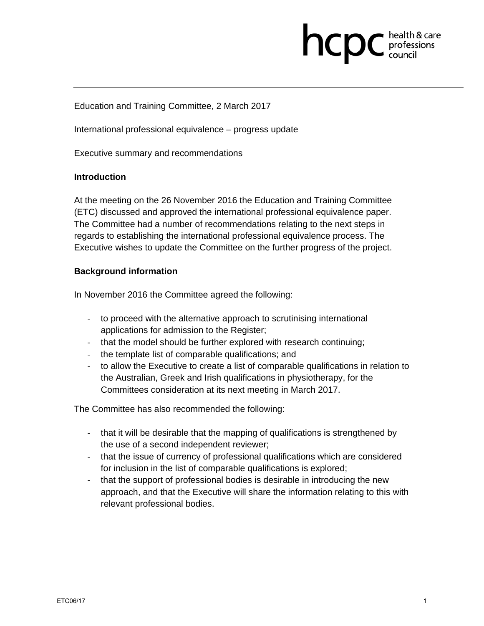# **health & care**

Education and Training Committee, 2 March 2017

International professional equivalence – progress update

Executive summary and recommendations

#### **Introduction**

At the meeting on the 26 November 2016 the Education and Training Committee (ETC) discussed and approved the international professional equivalence paper. The Committee had a number of recommendations relating to the next steps in regards to establishing the international professional equivalence process. The Executive wishes to update the Committee on the further progress of the project.

#### **Background information**

In November 2016 the Committee agreed the following:

- ‐ to proceed with the alternative approach to scrutinising international applications for admission to the Register;
- ‐ that the model should be further explored with research continuing;
- ‐ the template list of comparable qualifications; and
- ‐ to allow the Executive to create a list of comparable qualifications in relation to the Australian, Greek and Irish qualifications in physiotherapy, for the Committees consideration at its next meeting in March 2017.

The Committee has also recommended the following:

- that it will be desirable that the mapping of qualifications is strengthened by the use of a second independent reviewer;
- ‐ that the issue of currency of professional qualifications which are considered for inclusion in the list of comparable qualifications is explored;
- ‐ that the support of professional bodies is desirable in introducing the new approach, and that the Executive will share the information relating to this with relevant professional bodies.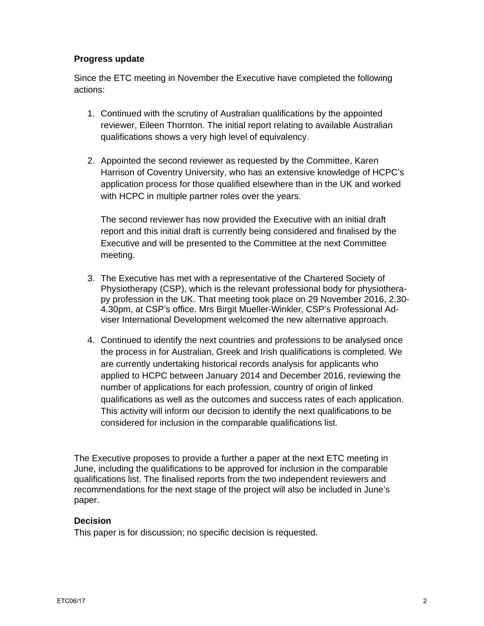#### **Progress update**

Since the ETC meeting in November the Executive have completed the following actions:

- 1. Continued with the scrutiny of Australian qualifications by the appointed reviewer, Eileen Thornton. The initial report relating to available Australian qualifications shows a very high level of equivalency.
- 2. Appointed the second reviewer as requested by the Committee, Karen Harrison of Coventry University, who has an extensive knowledge of HCPC's application process for those qualified elsewhere than in the UK and worked with HCPC in multiple partner roles over the years.

The second reviewer has now provided the Executive with an initial draft report and this initial draft is currently being considered and finalised by the Executive and will be presented to the Committee at the next Committee meeting.

- 3. The Executive has met with a representative of the Chartered Society of Physiotherapy (CSP), which is the relevant professional body for physiotherapy profession in the UK. That meeting took place on 29 November 2016, 2.30- 4.30pm, at CSP's office. Mrs Birgit Mueller-Winkler, CSP's Professional Adviser International Development welcomed the new alternative approach.
- 4. Continued to identify the next countries and professions to be analysed once the process in for Australian, Greek and Irish qualifications is completed. We are currently undertaking historical records analysis for applicants who applied to HCPC between January 2014 and December 2016, reviewing the number of applications for each profession, country of origin of linked qualifications as well as the outcomes and success rates of each application. This activity will inform our decision to identify the next qualifications to be considered for inclusion in the comparable qualifications list.

The Executive proposes to provide a further a paper at the next ETC meeting in June, including the qualifications to be approved for inclusion in the comparable qualifications list. The finalised reports from the two independent reviewers and recommendations for the next stage of the project will also be included in June's paper.

### **Decision**

This paper is for discussion; no specific decision is requested.